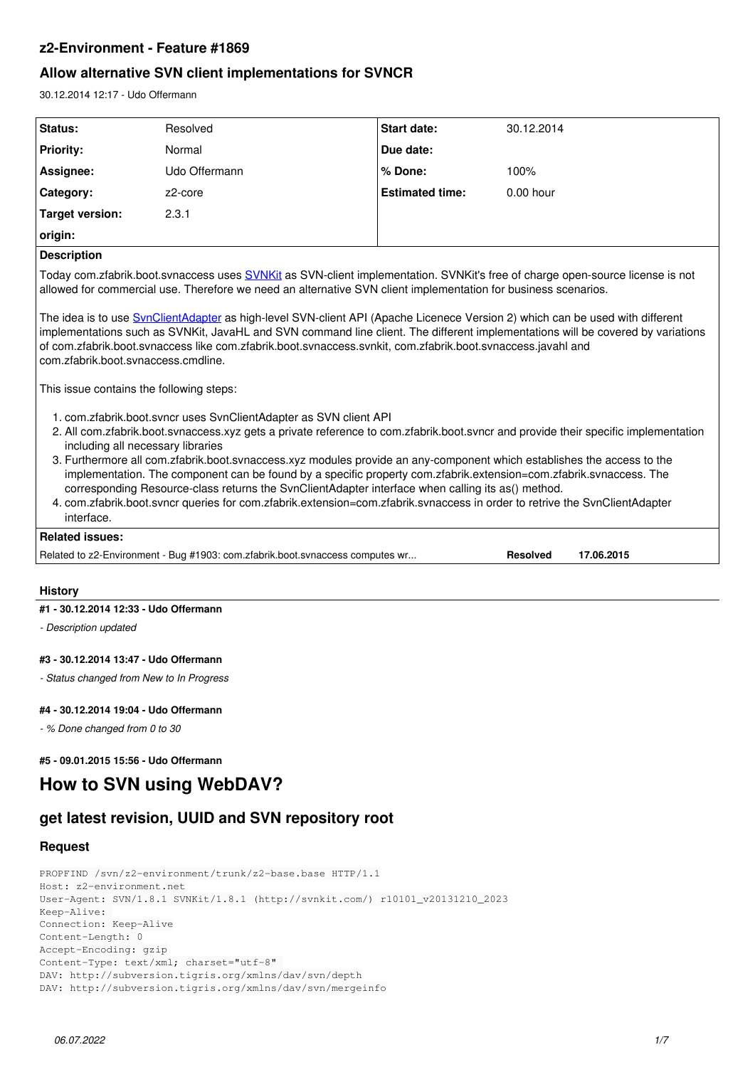## **z2-Environment - Feature #1869**

# **Allow alternative SVN client implementations for SVNCR**

30.12.2014 12:17 - Udo Offermann

| Status:                                                                                                                                                                                                                                                                                                                                                                                                                                                                                                                                                                                                                                                                                                                                       | Resolved                                                                      | <b>Start date:</b>     | 30.12.2014                    |  |
|-----------------------------------------------------------------------------------------------------------------------------------------------------------------------------------------------------------------------------------------------------------------------------------------------------------------------------------------------------------------------------------------------------------------------------------------------------------------------------------------------------------------------------------------------------------------------------------------------------------------------------------------------------------------------------------------------------------------------------------------------|-------------------------------------------------------------------------------|------------------------|-------------------------------|--|
| <b>Priority:</b>                                                                                                                                                                                                                                                                                                                                                                                                                                                                                                                                                                                                                                                                                                                              | Normal                                                                        | Due date:              |                               |  |
| Assignee:                                                                                                                                                                                                                                                                                                                                                                                                                                                                                                                                                                                                                                                                                                                                     | Udo Offermann                                                                 | % Done:                | 100%                          |  |
| Category:                                                                                                                                                                                                                                                                                                                                                                                                                                                                                                                                                                                                                                                                                                                                     | z2-core                                                                       | <b>Estimated time:</b> | $0.00$ hour                   |  |
| Target version:                                                                                                                                                                                                                                                                                                                                                                                                                                                                                                                                                                                                                                                                                                                               | 2.3.1                                                                         |                        |                               |  |
| origin:                                                                                                                                                                                                                                                                                                                                                                                                                                                                                                                                                                                                                                                                                                                                       |                                                                               |                        |                               |  |
| <b>Description</b>                                                                                                                                                                                                                                                                                                                                                                                                                                                                                                                                                                                                                                                                                                                            |                                                                               |                        |                               |  |
| Today com.zfabrik.boot.svnaccess uses SVNKit as SVN-client implementation. SVNKit's free of charge open-source license is not<br>allowed for commercial use. Therefore we need an alternative SVN client implementation for business scenarios.                                                                                                                                                                                                                                                                                                                                                                                                                                                                                               |                                                                               |                        |                               |  |
| The idea is to use <b>SynClientAdapter</b> as high-level SVN-client API (Apache Licenece Version 2) which can be used with different<br>implementations such as SVNKit, JavaHL and SVN command line client. The different implementations will be covered by variations<br>of com.zfabrik.boot.svnaccess like com.zfabrik.boot.svnaccess.svnkit, com.zfabrik.boot.svnaccess.javahl and<br>com.zfabrik.boot.svnaccess.cmdline.                                                                                                                                                                                                                                                                                                                 |                                                                               |                        |                               |  |
| This issue contains the following steps:                                                                                                                                                                                                                                                                                                                                                                                                                                                                                                                                                                                                                                                                                                      |                                                                               |                        |                               |  |
| 1. com.zfabrik.boot.svncr uses SvnClientAdapter as SVN client API<br>2. All com.zfabrik.boot.svnaccess.xyz gets a private reference to com.zfabrik.boot.svncr and provide their specific implementation<br>including all necessary libraries<br>3. Furthermore all com.zfabrik.boot.svnaccess.xyz modules provide an any-component which establishes the access to the<br>implementation. The component can be found by a specific property com.zfabrik.extension=com.zfabrik.svnaccess. The<br>corresponding Resource-class returns the SvnClientAdapter interface when calling its as() method.<br>4. com.zfabrik.boot.svncr queries for com.zfabrik.extension=com.zfabrik.svnaccess in order to retrive the SvnClientAdapter<br>interface. |                                                                               |                        |                               |  |
| <b>Related issues:</b>                                                                                                                                                                                                                                                                                                                                                                                                                                                                                                                                                                                                                                                                                                                        |                                                                               |                        |                               |  |
|                                                                                                                                                                                                                                                                                                                                                                                                                                                                                                                                                                                                                                                                                                                                               | Related to z2-Environment - Bug #1903: com.zfabrik.boot.svnaccess computes wr |                        | <b>Resolved</b><br>17.06.2015 |  |

#### **History**

#### **#1 - 30.12.2014 12:33 - Udo Offermann**

*- Description updated*

#### **#3 - 30.12.2014 13:47 - Udo Offermann**

*- Status changed from New to In Progress*

#### **#4 - 30.12.2014 19:04 - Udo Offermann**

*- % Done changed from 0 to 30*

### **#5 - 09.01.2015 15:56 - Udo Offermann**

# **How to SVN using WebDAV?**

# **get latest revision, UUID and SVN repository root**

## **Request**

PROPFIND /svn/z2-environment/trunk/z2-base.base HTTP/1.1 Host: z2-environment.net User-Agent: SVN/1.8.1 SVNKit/1.8.1 (http://svnkit.com/) r10101\_v20131210\_2023 Keep-Alive: Connection: Keep-Alive Content-Length: 0 Accept-Encoding: gzip Content-Type: text/xml; charset="utf-8" DAV: http://subversion.tigris.org/xmlns/dav/svn/depth DAV: http://subversion.tigris.org/xmlns/dav/svn/mergeinfo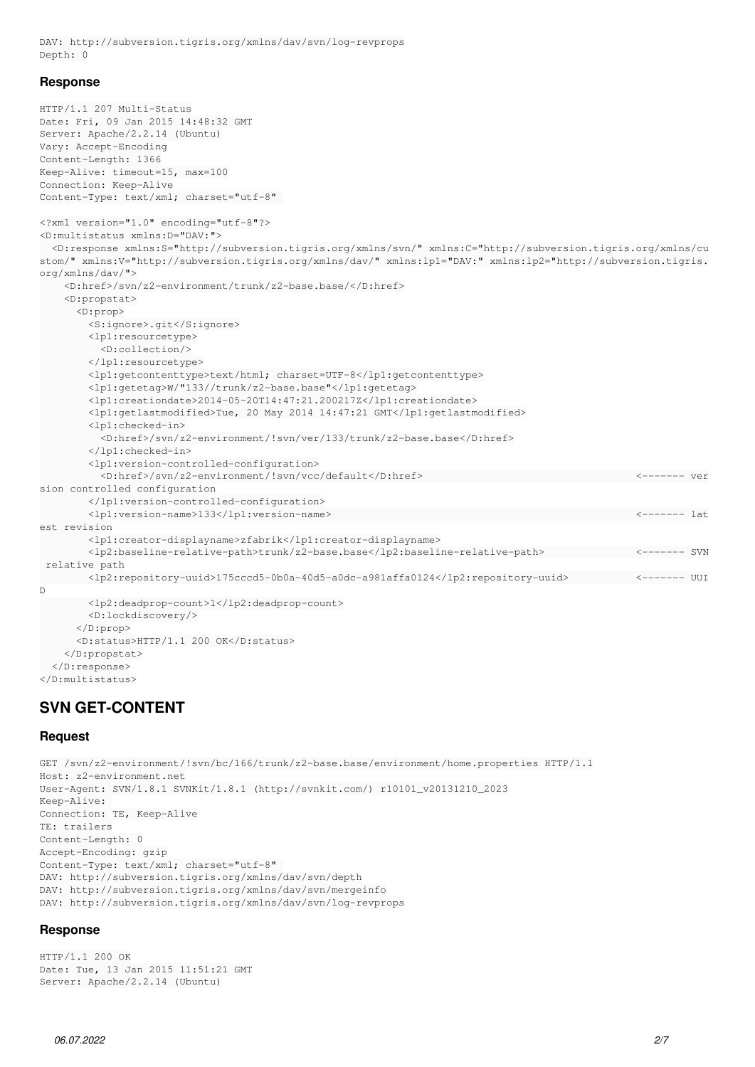DAV: http://subversion.tigris.org/xmlns/dav/svn/log-revprops Depth: 0

#### **Response**

```
HTTP/1.1 207 Multi-Status
Date: Fri, 09 Jan 2015 14:48:32 GMT
Server: Apache/2.2.14 (Ubuntu)
Vary: Accept-Encoding
Content-Length: 1366
Keep-Alive: timeout=15, max=100
Connection: Keep-Alive
Content-Type: text/xml; charset="utf-8" 
<?xml version="1.0" encoding="utf-8"?>
<D:multistatus xmlns:D="DAV:">
    <D:response xmlns:S="http://subversion.tigris.org/xmlns/svn/" xmlns:C="http://subversion.tigris.org/xmlns/cu
stom/" xmlns:V="http://subversion.tigris.org/xmlns/dav/" xmlns:lp1="DAV:" xmlns:lp2="http://subversion.tigris.
org/xmlns/dav/">
        <D:href>/svn/z2-environment/trunk/z2-base.base/</D:href>
        <D:propstat>
            <D:prop>
                <S:ignore>.git</S:ignore>
                <lp1:resourcetype>
                     <D:collection/>
                 </lp1:resourcetype>
                 <lp1:getcontenttype>text/html; charset=UTF-8</lp1:getcontenttype>
                 <lp1:getetag>W/"133//trunk/z2-base.base"</lp1:getetag>
                 <lp1:creationdate>2014-05-20T14:47:21.200217Z</lp1:creationdate>
                 <lp1:getlastmodified>Tue, 20 May 2014 14:47:21 GMT</lp1:getlastmodified>
                 <lp1:checked-in>
                     <D:href>/svn/z2-environment/!svn/ver/133/trunk/z2-base.base</D:href>
                 </lp1:checked-in>
                 <lp1:version-controlled-configuration>
                     <D:href>/svn/z2-environment/!svn/vcc/default</D:href>                                   <------- ver
sion controlled configuration
                 </lp1:version-controlled-configuration>
                 <lp1:version-name>133</lp1:version-name>                                                  <------- lat
est revision
                 <lp1:creator-displayname>zfabrik</lp1:creator-displayname>
                 <lp2:baseline-relative-path>trunk/z2-base.base</lp2:baseline-relative-path>               <------- SVN
  relative path
              <lp2:repository-uuid>175cccd5-0b0a-40d5-a0dc-a981affa0124</lp2:repository-uuid>           <------- UUI
D
                <lp2:deadprop-count>1</lp2:deadprop-count>
                <D:lockdiscovery/>
            </D:prop>
            <D:status>HTTP/1.1 200 OK</D:status>
        </D:propstat>
    </D:response>
</D:multistatus>
```
# **SVN GET-CONTENT**

#### **Request**

GET /svn/z2-environment/!svn/bc/166/trunk/z2-base.base/environment/home.properties HTTP/1.1 Host: z2-environment.net User-Agent: SVN/1.8.1 SVNKit/1.8.1 (http://svnkit.com/) r10101\_v20131210\_2023 Keep-Alive: Connection: TE, Keep-Alive TE: trailers Content-Length: 0 Accept-Encoding: gzip Content-Type: text/xml; charset="utf-8" DAV: http://subversion.tigris.org/xmlns/dav/svn/depth DAV: http://subversion.tigris.org/xmlns/dav/svn/mergeinfo DAV: http://subversion.tigris.org/xmlns/dav/svn/log-revprops

#### **Response**

HTTP/1.1 200 OK Date: Tue, 13 Jan 2015 11:51:21 GMT Server: Apache/2.2.14 (Ubuntu)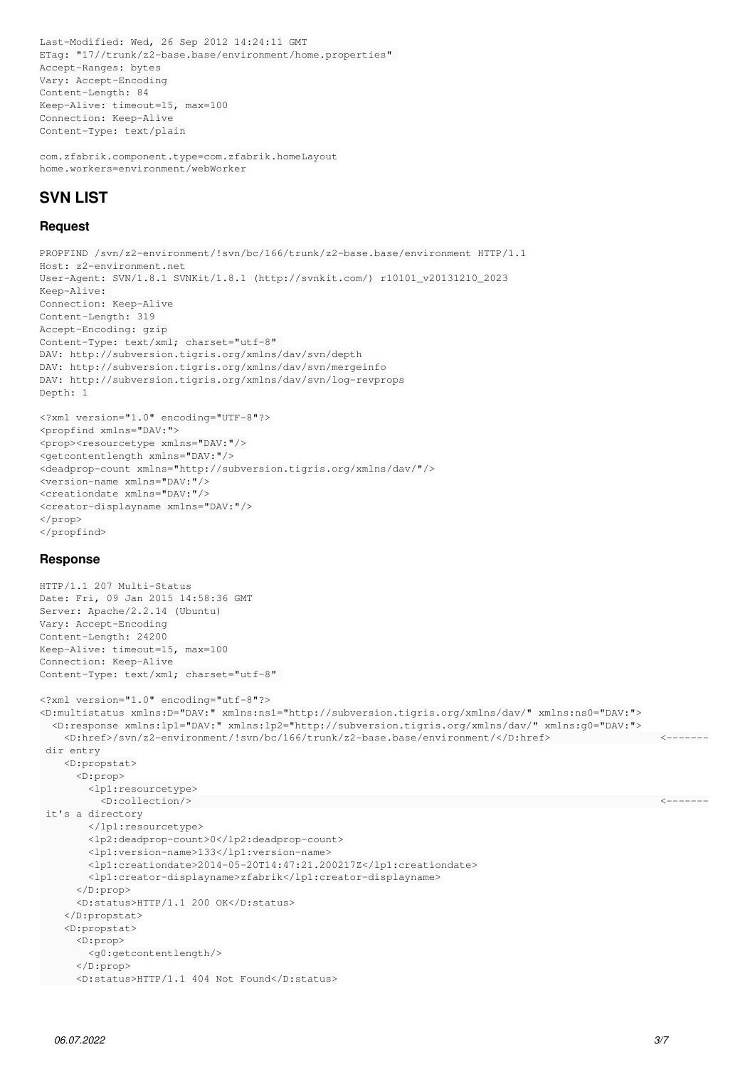Last-Modified: Wed, 26 Sep 2012 14:24:11 GMT ETag: "17//trunk/z2-base.base/environment/home.properties" Accept-Ranges: bytes Vary: Accept-Encoding Content-Length: 84 Keep-Alive: timeout=15, max=100 Connection: Keep-Alive Content-Type: text/plain

com.zfabrik.component.type=com.zfabrik.homeLayout home.workers=environment/webWorker

# **SVN LIST**

### **Request**

PROPFIND /svn/z2-environment/!svn/bc/166/trunk/z2-base.base/environment HTTP/1.1 Host: z2-environment.net User-Agent: SVN/1.8.1 SVNKit/1.8.1 (http://svnkit.com/) r10101\_v20131210\_2023 Keep-Alive: Connection: Keep-Alive Content-Length: 319 Accept-Encoding: gzip Content-Type: text/xml; charset="utf-8" DAV: http://subversion.tigris.org/xmlns/dav/svn/depth DAV: http://subversion.tigris.org/xmlns/dav/svn/mergeinfo DAV: http://subversion.tigris.org/xmlns/dav/svn/log-revprops Depth: 1

<?xml version="1.0" encoding="UTF-8"?> <propfind xmlns="DAV:"> <prop><resourcetype xmlns="DAV:"/> <getcontentlength xmlns="DAV:"/> <deadprop-count xmlns="http://subversion.tigris.org/xmlns/dav/"/> <version-name xmlns="DAV:"/> <creationdate xmlns="DAV:"/> <creator-displayname xmlns="DAV:"/> </prop> </propfind>

### **Response**

```
HTTP/1.1 207 Multi-Status
Date: Fri, 09 Jan 2015 14:58:36 GMT
Server: Apache/2.2.14 (Ubuntu)
Vary: Accept-Encoding
Content-Length: 24200
Keep-Alive: timeout=15, max=100
Connection: Keep-Alive
Content-Type: text/xml; charset="utf-8" 
<?xml version="1.0" encoding="utf-8"?>
<D:multistatus xmlns:D="DAV:" xmlns:ns1="http://subversion.tigris.org/xmlns/dav/" xmlns:ns0="DAV:">
    <D:response xmlns:lp1="DAV:" xmlns:lp2="http://subversion.tigris.org/xmlns/dav/" xmlns:g0="DAV:">
    \langle D: \hbox{href>} / \sum2-environment /! \: \hbox{syn} / \hbox{bc} / 166 / \hbox{trunk} / \: \hbox{z2-base} . \hbox{base/environment} / \: \langle D: \hbox{href>} \: \hbox{Nree} \: \rangle dir entry
        <D:propstat>
             <D:prop>
                 <lp1:resourcetype>
                     <D:collection/>                                                                             <-------
  it's a directory
                 </lp1:resourcetype>
                 <lp2:deadprop-count>0</lp2:deadprop-count>
                 <lp1:version-name>133</lp1:version-name>
                 <lp1:creationdate>2014-05-20T14:47:21.200217Z</lp1:creationdate>
                 <lp1:creator-displayname>zfabrik</lp1:creator-displayname>
             </D:prop>
             <D:status>HTTP/1.1 200 OK</D:status>
         </D:propstat>
         <D:propstat>
             <D:prop>
                 <g0:getcontentlength/>
             </D:prop>
            <D:status>HTTP/1.1 404 Not Found</D:status>
```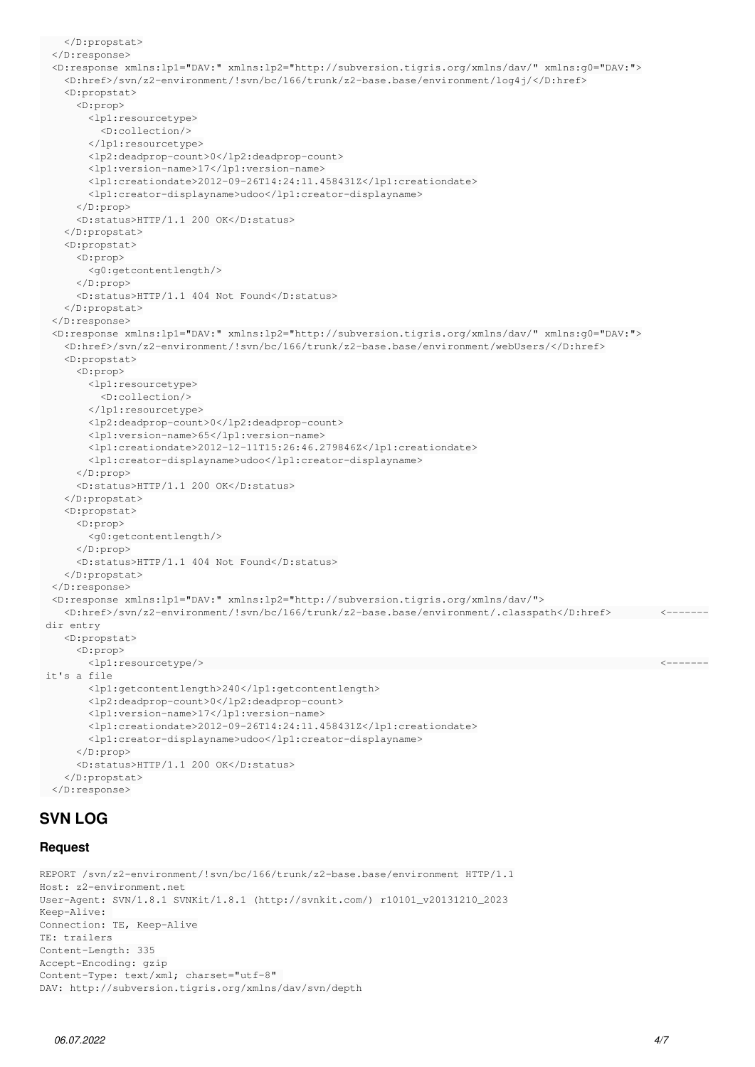```
    </D:propstat>
    </D:response>
    <D:response xmlns:lp1="DAV:" xmlns:lp2="http://subversion.tigris.org/xmlns/dav/" xmlns:g0="DAV:">
        <D:href>/svn/z2-environment/!svn/bc/166/trunk/z2-base.base/environment/log4j/</D:href>
        <D:propstat>
             <D:prop>
                 <lp1:resourcetype>
                     <D:collection/>
                 </lp1:resourcetype>
                 <lp2:deadprop-count>0</lp2:deadprop-count>
                 <lp1:version-name>17</lp1:version-name>
                 <lp1:creationdate>2012-09-26T14:24:11.458431Z</lp1:creationdate>
                 <lp1:creator-displayname>udoo</lp1:creator-displayname>
             </D:prop>
             <D:status>HTTP/1.1 200 OK</D:status>
    \langleD:propstat>
        <D:propstat>
             <D:prop>
                 <g0:getcontentlength/>
             </D:prop>
             <D:status>HTTP/1.1 404 Not Found</D:status>
        </D:propstat>
    </D:response>
    <D:response xmlns:lp1="DAV:" xmlns:lp2="http://subversion.tigris.org/xmlns/dav/" xmlns:g0="DAV:">
        <D:href>/svn/z2-environment/!svn/bc/166/trunk/z2-base.base/environment/webUsers/</D:href>
        <D:propstat>
             <D:prop>
                 <lp1:resourcetype>
                     <D:collection/>
                 </lp1:resourcetype>
                 <lp2:deadprop-count>0</lp2:deadprop-count>
                 <lp1:version-name>65</lp1:version-name>
                 <lp1:creationdate>2012-12-11T15:26:46.279846Z</lp1:creationdate>
                 <lp1:creator-displayname>udoo</lp1:creator-displayname>
             </D:prop>
             <D:status>HTTP/1.1 200 OK</D:status>
        </D:propstat>
        <D:propstat>
             <D:prop>
                 <g0:getcontentlength/>
             </D:prop>
             <D:status>HTTP/1.1 404 Not Found</D:status>
        </D:propstat>
    </D:response>
    <D:response xmlns:lp1="DAV:" xmlns:lp2="http://subversion.tigris.org/xmlns/dav/">
        <D:href>/svn/z2-environment/!svn/bc/166/trunk/z2-base.base/environment/.classpath</D:href>        <-------
  dir entry
        <D:propstat>
             <D:prop>
         \langle 1p1:resourcetype/> \longrightarrow it's a file
                 <lp1:getcontentlength>240</lp1:getcontentlength>
                 <lp2:deadprop-count>0</lp2:deadprop-count>
                 <lp1:version-name>17</lp1:version-name>
                 <lp1:creationdate>2012-09-26T14:24:11.458431Z</lp1:creationdate>
                 <lp1:creator-displayname>udoo</lp1:creator-displayname>
             </D:prop>
             <D:status>HTTP/1.1 200 OK</D:status>
        </D:propstat>
    </D:response>
SVN LOG
```
#### **Request**

```
REPORT /svn/z2-environment/!svn/bc/166/trunk/z2-base.base/environment HTTP/1.1
Host: z2-environment.net
User-Agent: SVN/1.8.1 SVNKit/1.8.1 (http://svnkit.com/) r10101_v20131210_2023
Keep-Alive.
Connection: TE, Keep-Alive
TE: trailers
Content-Length: 335
Accept-Encoding: gzip
Content-Type: text/xml; charset="utf-8" 
DAV: http://subversion.tigris.org/xmlns/dav/svn/depth
```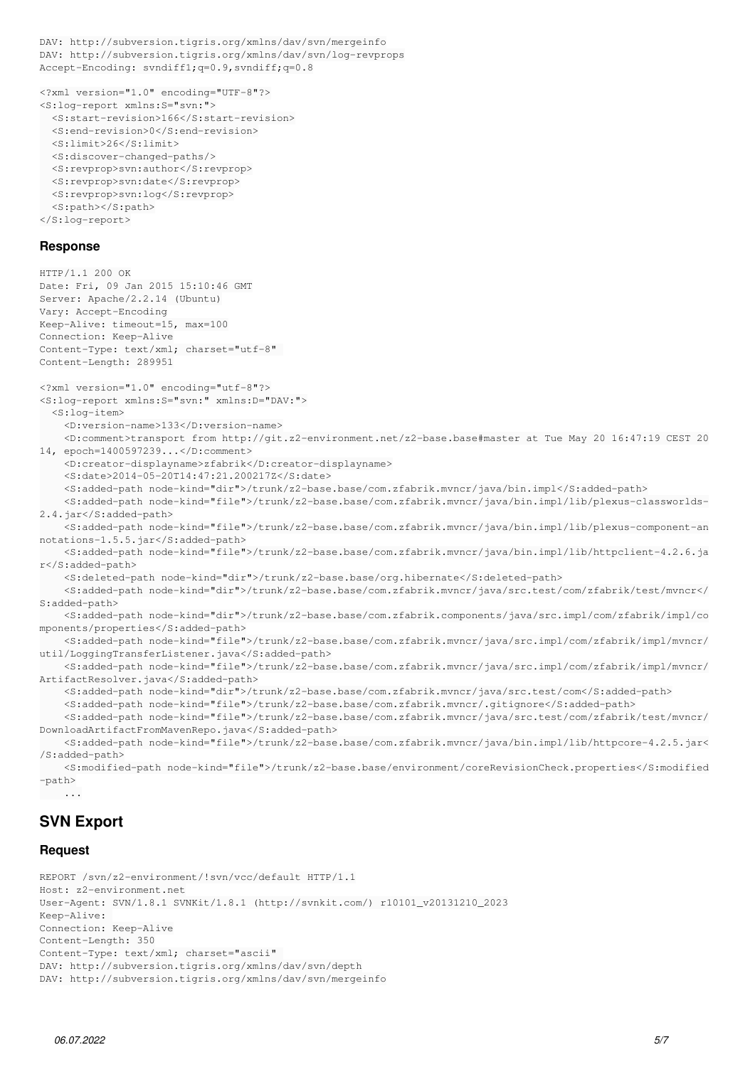```
DAV: http://subversion.tigris.org/xmlns/dav/svn/mergeinfo
DAV: http://subversion.tigris.org/xmlns/dav/svn/log-revprops
Accept-Encoding: svndiff1;q=0.9,svndiff;q=0.8
<?xml version="1.0" encoding="UTF-8"?>
<S:log-report xmlns:S="svn:">
    <S:start-revision>166</S:start-revision>
    <S:end-revision>0</S:end-revision>
    <S:limit>26</S:limit>
    <S:discover-changed-paths/>
    <S:revprop>svn:author</S:revprop>
    <S:revprop>svn:date</S:revprop>
    <S:revprop>svn:log</S:revprop>
    <S:path></S:path>
</S:log-report>
Response
HTTP/1.1 200 OK
Date: Fri, 09 Jan 2015 15:10:46 GMT
Server: Apache/2.2.14 (Ubuntu)
Vary: Accept-Encoding
Keep-Alive: timeout=15, max=100
Connection: Keep-Alive
Content-Type: text/xml; charset="utf-8" 
Content-Length: 289951
<?xml version="1.0" encoding="utf-8"?>
<S:log-report xmlns:S="svn:" xmlns:D="DAV:">
    <S:log-item>
        <D:version-name>133</D:version-name>
        <D:comment>transport from http://git.z2-environment.net/z2-base.base#master at Tue May 20 16:47:19 CEST 20
14, epoch=1400597239...</D:comment>
        <D:creator-displayname>zfabrik</D:creator-displayname>
        <S:date>2014-05-20T14:47:21.200217Z</S:date>
        <S:added-path node-kind="dir">/trunk/z2-base.base/com.zfabrik.mvncr/java/bin.impl</S:added-path>
        <S:added-path node-kind="file">/trunk/z2-base.base/com.zfabrik.mvncr/java/bin.impl/lib/plexus-classworlds-
2.4.jar</S:added-path>
        <S:added-path node-kind="file">/trunk/z2-base.base/com.zfabrik.mvncr/java/bin.impl/lib/plexus-component-an
notations-1.5.5.jar</S:added-path>
        <S:added-path node-kind="file">/trunk/z2-base.base/com.zfabrik.mvncr/java/bin.impl/lib/httpclient-4.2.6.ja
r</S:added-path>
        <S:deleted-path node-kind="dir">/trunk/z2-base.base/org.hibernate</S:deleted-path>
        <S:added-path node-kind="dir">/trunk/z2-base.base/com.zfabrik.mvncr/java/src.test/com/zfabrik/test/mvncr</
S:added-path>
        <S:added-path node-kind="dir">/trunk/z2-base.base/com.zfabrik.components/java/src.impl/com/zfabrik/impl/co
mponents/properties</S:added-path>
        <S:added-path node-kind="file">/trunk/z2-base.base/com.zfabrik.mvncr/java/src.impl/com/zfabrik/impl/mvncr/
util/LoggingTransferListener.java</S:added-path>
        <S:added-path node-kind="file">/trunk/z2-base.base/com.zfabrik.mvncr/java/src.impl/com/zfabrik/impl/mvncr/
ArtifactResolver.java</S:added-path>
        <S:added-path node-kind="dir">/trunk/z2-base.base/com.zfabrik.mvncr/java/src.test/com</S:added-path>
        <S:added-path node-kind="file">/trunk/z2-base.base/com.zfabrik.mvncr/.gitignore</S:added-path>
        <S:added-path node-kind="file">/trunk/z2-base.base/com.zfabrik.mvncr/java/src.test/com/zfabrik/test/mvncr/
DownloadArtifactFromMavenRepo.java</S:added-path>
        <S:added-path node-kind="file">/trunk/z2-base.base/com.zfabrik.mvncr/java/bin.impl/lib/httpcore-4.2.5.jar<
/S:added-path>
        <S:modified-path node-kind="file">/trunk/z2-base.base/environment/coreRevisionCheck.properties</S:modified
```

```
-path>
       ...
```
# **SVN Export**

### **Request**

```
REPORT /svn/z2-environment/!svn/vcc/default HTTP/1.1
Host: z2-environment.net
User-Agent: SVN/1.8.1 SVNKit/1.8.1 (http://svnkit.com/) r10101_v20131210_2023
Keep-Alive: 
Connection: Keep-Alive
Content-Length: 350
Content-Type: text/xml; charset="ascii" 
DAV: http://subversion.tigris.org/xmlns/dav/svn/depth
DAV: http://subversion.tigris.org/xmlns/dav/svn/mergeinfo
```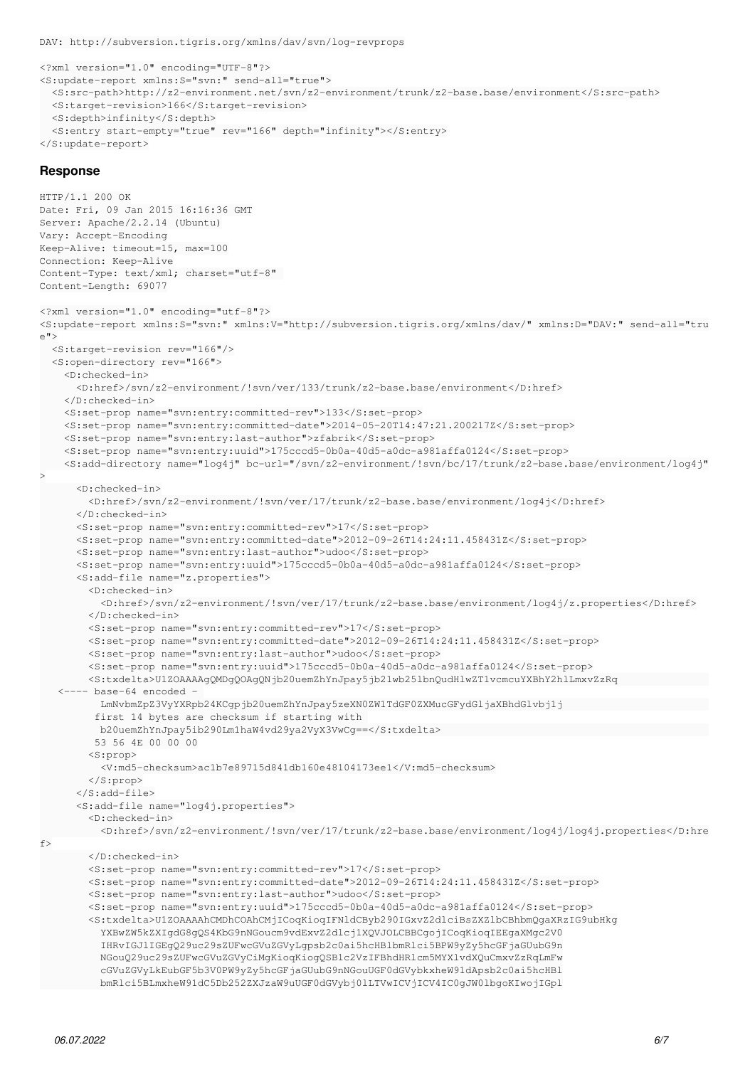DAV: http://subversion.tigris.org/xmlns/dav/svn/log-revprops

```
<?xml version="1.0" encoding="UTF-8"?>
<S:update-report xmlns:S="svn:" send-all="true">
    <S:src-path>http://z2-environment.net/svn/z2-environment/trunk/z2-base.base/environment</S:src-path>
    <S:target-revision>166</S:target-revision>
   <S:depth>infinity</S:depth>
   <S:entry start-empty="true" rev="166" depth="infinity"></S:entry>
</S:update-report>
```
#### **Response**

```
HTTP/1.1 200 OK
Date: Fri, 09 Jan 2015 16:16:36 GMT
Server: Apache/2.2.14 (Ubuntu)
Vary: Accept-Encoding
Keep-Alive: timeout=15, max=100
Connection: Keep-Alive
Content-Type: text/xml; charset="utf-8" 
Content-Length: 69077
<?xml version="1.0" encoding="utf-8"?>
<S:update-report xmlns:S="svn:" xmlns:V="http://subversion.tigris.org/xmlns/dav/" xmlns:D="DAV:" send-all="tru
\sim">
    <S:target-revision rev="166"/>
    <S:open-directory rev="166">
        <D:checked-in>
             <D:href>/svn/z2-environment/!svn/ver/133/trunk/z2-base.base/environment</D:href>
        </D:checked-in>
        <S:set-prop name="svn:entry:committed-rev">133</S:set-prop>
        <S:set-prop name="svn:entry:committed-date">2014-05-20T14:47:21.200217Z</S:set-prop>
        <S:set-prop name="svn:entry:last-author">zfabrik</S:set-prop>
        <S:set-prop name="svn:entry:uuid">175cccd5-0b0a-40d5-a0dc-a981affa0124</S:set-prop>
        <S:add-directory name="log4j" bc-url="/svn/z2-environment/!svn/bc/17/trunk/z2-base.base/environment/log4j"
>
            <D:checked-in>
                 <D:href>/svn/z2-environment/!svn/ver/17/trunk/z2-base.base/environment/log4j</D:href>
             </D:checked-in>
             <S:set-prop name="svn:entry:committed-rev">17</S:set-prop>
             <S:set-prop name="svn:entry:committed-date">2012-09-26T14:24:11.458431Z</S:set-prop>
             <S:set-prop name="svn:entry:last-author">udoo</S:set-prop>
             <S:set-prop name="svn:entry:uuid">175cccd5-0b0a-40d5-a0dc-a981affa0124</S:set-prop>
             <S:add-file name="z.properties">
                 <D:checked-in>
                     <D:href>/svn/z2-environment/!svn/ver/17/trunk/z2-base.base/environment/log4j/z.properties</D:href>
                 </D:checked-in>
                 <S:set-prop name="svn:entry:committed-rev">17</S:set-prop>
                 <S:set-prop name="svn:entry:committed-date">2012-09-26T14:24:11.458431Z</S:set-prop>
                 <S:set-prop name="svn:entry:last-author">udoo</S:set-prop>
                 <S:set-prop name="svn:entry:uuid">175cccd5-0b0a-40d5-a0dc-a981affa0124</S:set-prop>
                 <S:txdelta>U1ZOAAAAgQMDgQOAgQNjb20uemZhYnJpay5jb21wb25lbnQudHlwZT1vcmcuYXBhY2hlLmxvZzRq               
      <---- base-64 encoded - 
                     LmNvbmZpZ3VyYXRpb24KCgpjb20uemZhYnJpay5zeXN0ZW1TdGF0ZXMucGFydGljaXBhdGlvbj1j                        
                   first 14 bytes are checksum if starting with 
                    b20uemZhYnJpay5ib290Lm1haW4vd29ya2VyX3VwCg==</S:txdelta>                                            
                   53 56 4E 00 00 00
                 <S:prop>
                     <V:md5-checksum>ac1b7e89715d841db160e48104173ee1</V:md5-checksum>
                 </S:prop>
             </S:add-file>
             <S:add-file name="log4j.properties">
                 <D:checked-in>
                     <D:href>/svn/z2-environment/!svn/ver/17/trunk/z2-base.base/environment/log4j/log4j.properties</D:hre
f        </D:checked-in>
                 <S:set-prop name="svn:entry:committed-rev">17</S:set-prop>
                 <S:set-prop name="svn:entry:committed-date">2012-09-26T14:24:11.458431Z</S:set-prop>
                 <S:set-prop name="svn:entry:last-author">udoo</S:set-prop>
                 <S:set-prop name="svn:entry:uuid">175cccd5-0b0a-40d5-a0dc-a981affa0124</S:set-prop>
                 <S:txdelta>U1ZOAAAAhCMDhCOAhCMjICoqKioqIFNldCByb290IGxvZ2dlciBsZXZlbCBhbmQgaXRzIG9ubHkg
                     YXBwZW5kZXIgdG8gQS4KbG9nNGoucm9vdExvZ2dlcj1XQVJOLCBBCgojICoqKioqIEEgaXMgc2V0
                     IHRvIGJlIGEgQ29uc29sZUFwcGVuZGVyLgpsb2c0ai5hcHBlbmRlci5BPW9yZy5hcGFjaGUubG9n
                     NGouQ29uc29sZUFwcGVuZGVyCiMgKioqKiogQSB1c2VzIFBhdHRlcm5MYXlvdXQuCmxvZzRqLmFw
                     cGVuZGVyLkEubGF5b3V0PW9yZy5hcGFjaGUubG9nNGouUGF0dGVybkxheW91dApsb2c0ai5hcHBl
                     bmRlci5BLmxheW91dC5Db252ZXJzaW9uUGF0dGVybj0lLTVwICVjICV4IC0gJW0lbgoKIwojIGpl
```